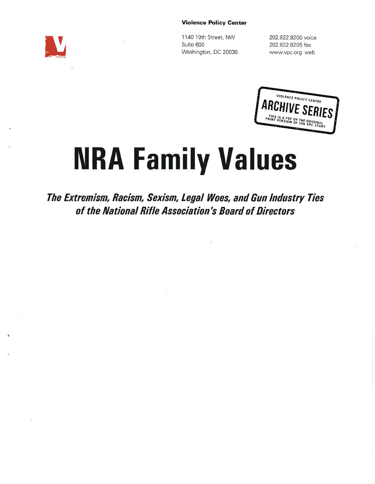#### Violence Policy Genter

lt

<sup>1</sup>140 19th Street, NW Suite 600 Washington, DC 20036 202.822.8200 voice 202.822.8205 fax www.vpc.org web



# **NRA Family Values**

The Extremism, Bacism, Sexism, Legal Woes, and Gun Industry Ties of the National Rifle Association's Board of Directors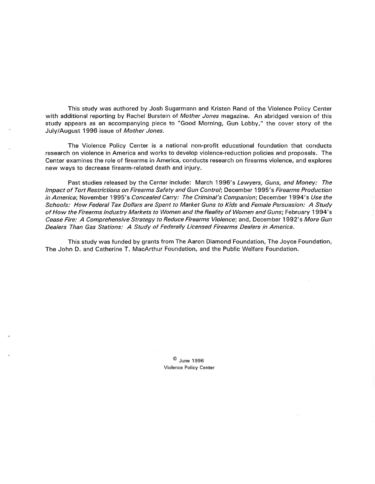This study was authored by Josh Sugarmann and Kristen Rand of the Violence Policy Center with additional reporting by Rachel Burstein of Mother Jones magazine. An abridged version of this study appears as an accompanying piece to "Good Morning, Gun Lobby," the cover story of the July/August 1996 issue of Mother Jones.

The Violence Policy Center is a national non-profit educational foundation that conducts research on violence in America and works to develop violence-reduction policies and proposals. The Center examines the role of firearms in America, conducts research on firearms violence, and explores new ways to decrease firearm-related death and injury.

Past studies released by the Center include: March 1996's Lawyers, Guns, and Money: The Impact of Tort Restrictions on Firearms Safety and Gun Control; December 1995's Firearms Production in America; November 1995's Concealed Carry: The Criminal's Companion; December 1994's Use the Schools: How Federal Tax Dollars are Spent to Market Guns to Kids and Female Persuasion: A Study of How the Firearms Industry Markets to Women and the Reality of Women and Guns; February 1994's Cease Fire: A Comprehensive Strategy to Reduce Firearms Violence; and, December 1992's More Gun Dealers Than Gas Stations: A Study of Federally Licensed Firearms Dealers in America.

This study was funded by grants from The Aaron Diamond Foundation, The Joyce Foundation, The John D. and Catherine T. MacArthur Foundation, and the Public Welfare Foundation.

> $^{\circ}$  June 1996 Violence Policy Center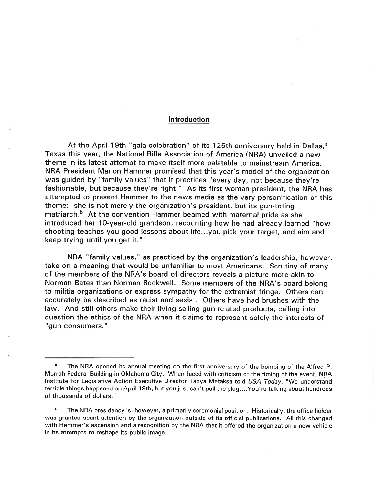# lntroduction

At the April 19th "gala celebration" of its 125th anniversary held in Dallas,<sup>a</sup> Texas this year, the National Rifle Association of America (NRA) unveiled a new theme in its latest attempt to make itself more palatable to mainstream America. NRA President Marion Hammer promised that this year's model of the organization was guided by "family values" that it practices "every day, not because they're fashionable, but because they're right." As its first woman president, the NRA has attempted to present Hammer to the news media as the very personification of this theme: she is not merely the organization's president, but its gun-toting matriarch.<sup>b</sup> At the convention Hammer beamed with maternal pride as she introduced her 1O-year-old grandson, recounting how he had already learned "how shooting teaches you good lessons about life...you pick your target, and aim and keep trying until you get it."

NRA "family values," as practiced by the organization's leadership, however, take on a meaning that would be unfamiliar to most Americans. Scrutiny of many of the members of the NRA's board of directors reveals a picture more akin to Norman Bates than Norman Rockwell. Some members of the NRA's board belong to militia organizations or express sympathy for the extremist fringe. Others can accurately be described as racist and sexist. Others have had brushes with the law. And still others make their living selling gun-related products, calling into question the ethics of the NRA when it claims to represent solely the interests of "gun consumers."

<sup>&</sup>lt;sup>a</sup> The NRA opened its annual meeting on the first anniversary of the bombing of the Alfred P. Murrah Federal Building in Oklahoma City. When faced with criticism of the timing of the event, NRA lnstitute for Legislative Action Executive Director Tanya Metaksa told USA Today, "We understand terrible things happened on April 19th, but you just can't pull the plug....You're talking about hundreds of thousands of dollars."

The NRA presidency is, however, a primarily ceremonial position. Historically, the office holder was granted scant attention by the organization outside of its official publications. All this changed with Hammer's ascension and a recognition by the NRA that it offered the organization a new vehicle in its attempts to reshape its public image.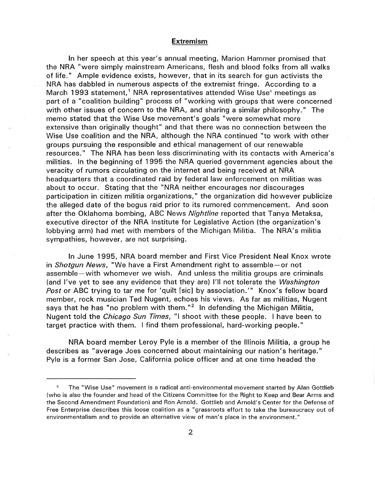## **Extremism**

ln her speech at this year's annual meeting, Marion Hammer promised that the NRA "were simply mainstream Americans, flesh and blood folks from all walks of life." Ample evidence exists, however, that in its search for gun activists the NRA has dabbled in numerous aspects of the extremist fringe. According to <sup>a</sup> March 1993 statement,<sup>1</sup> NRA representatives attended Wise Use $\degree$  meetings as part of a "coalition building" process of "working with groups that were concerned with other issues of concern to the NRA, and sharing a similar philosophy." The memo stated that the Wise Use movement's goals "were somewhat more extensive than originally thought" and that there was no connection between the Wise Use coalition and the NRA, although the NRA continued "to work with other groups pursuing the responsible and ethical management of our renewable resources." The NRA has been less discriminating with its contacts with America's militias. ln the beginning of 1995 the NRA queried government agencies about the veracity of rumors circulating on the internet and being received at NRA headquarters that a coordinated raid by federal law enforcement on militias was about to occur. Stating that the "NRA neither encourages nor discourages parrticipation in citizen militia organizations," the organization did however publicize the alleged date of the bogus raid prior to its rumored commencement. And soon after the Oklahoma bombing, ABC News Nightline reported that Tanya Metaksa, executive director of the NRA lnstitute for Legislative Action (the organization's lobbying arm) had met with members of the Michigan Militia. The NRA's militia sympathies, however, are not surprising.

ln June 1995, NRA board member and First Vice President Neal Knox wrote in Shotgun News, "We have a First Amendment right to assemble-or not assemble-with whomever we wish. And unless the militia groups are criminals (and l've yet to see any evidence that they are) l'll not tolerate the Washington Post or ABC trying to tar me for 'quilt [sic] by association.'" Knox's fellow board member, rock musician Ted Nugent, echoes his views. As far as militias, Nugent says that he has "no problem with them."<sup>2</sup> In defending the Michigan Militia, Nugent told the Chicago Sun Times, "l shoot with these people. I have been to target practice with them. I find them professional, hard-working people."

NRA board member Leroy Pyle is a member of the lllinois Militia, a group he describes as "average Joes concerned about maintaining our nation's heritage." Pyle is a former San Jose, California police officer and at one time headed the

<sup>&</sup>lt;sup>c</sup> The "Wise Use" movement is a radical anti-environmental movement started by Alan Gottlieb (who is also the founder and head of the Citizens Committee for the Right to Keep and Bear Arms and the Second Amendment Foundation) and Ron Arnold. Gottlieb and Arnold's Center for the Defense of Free Enterprise describes this loose coalition as a "grassroots effort to take the bureaucracy out of environmentalism and to provide an alternative view of man's place in the environment."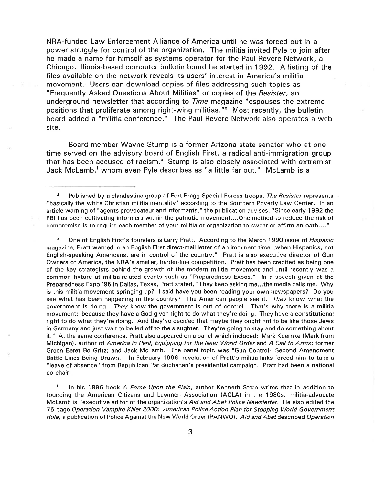NRA-funded Law Enforcement Alliance of America until he was forced out in <sup>a</sup> power struggle for control of the organization. The militia invited Pyle to join after he made a name for himself as systems operator for the Paul Revere Network, <sup>a</sup> Chicago, lllinois-based computer bulletin board he started in 1992. A listing of the files available on the network reveals its users' interest in America's militia movement. Users can download copies of files addressing such topics as "Frequently Asked Questions About Militias" or copies of the Resister, an underground newsletter that according to *Time* magazine "espouses the extreme positions that proliferate among right-wing militias."d Most recently, the bulletin board added a "militia conference." The Paul Revere Network also operates a web site.

Board member Wayne Stump is a former Arizona state senator who at one time served on the advisory board of English First, a radical anti-immigration group that has been accused of racism." Stump is also closely associated with extremist Jack McLamb,<sup>f</sup> whom even Pyle describes as "a little far out." McLamb is a

<sup>e</sup> One of English First's founders is Larry Pratt. According to the March 1990 issue of *Hispanic* rnagazine, Pratt warned in an English First direct-mail letter of an imminent time 'lwhen Hispanics, not English-speaking Americans, are in control of the country." Pratt is also executive director of Gun Owners of America, the NRA's smaller, harder-line competition. Pratt has been credited as being one of the key strategists behind the growth of the modern militia movement and until recently was <sup>a</sup> common fixture at militia-related events such as "Preparedness Expos." ln a speech given at the Preparedness Expo '95 in Dallas, Texas, Pratt stated, "They keep asking me...the media calls me. Why is this militia movement springing up? I said have you been reading your own newspapers? Do you see what has been happening in this country? The American people see it. They know what the government is doing. They know the government is out of control. That's why there is a militia movement: because they have a God-given right to do what they're doing. They have a constitutional right to do what they're doing. And they've decided that maybe they ought not to be like those Jews in Germany and just wait to be led off to the slaughter. They're going to stay and do something about it." At the same conference, Pratt also appeared on a panel which included: Mark Koernke (Mark from Michigan), author of America in Peril, Equipping for the New World Order and A Call to Arms; former Green Beret Bo Gritz; and Jack Mclamb. The panel topic was "Gun Control-Second Amendment Battle Lines Being Drawn." ln February 1996, revelation of Pratt's militia links forced him to take <sup>a</sup> "leave of absence" from Republican Pat Buchanan's presidential campaign. Pratt had been a national co-chair.

<sup>f</sup> In his 1996 book A Force Upon the Plain, author Kenneth Stern writes that in addition to founding the American Citizens and Lawmen Association (ACLA) in the 1980s, militia-advocate McLamb is "executive editor of the organization's Aid and Abet Police Newsletter. He also edited the 75-page Operation Vampire Killer 2OOO: American Police Action Plan for Stopping World Government Rule, a publication of Police Against the New World Order (PANWO). Aid and Abet described Operation

<sup>&</sup>lt;sup>d</sup> Published by a clandestine group of Fort Bragg Special Forces troops, The Resister represents "basically the white Christian militia mentality" according to the Southern Poverty Law Center. ln an article warning of "agents provocateur and informants," the publication advises, "Since early 1992 the FBI has been cultivating informers within the patriotic movement....One method to reduce the risk of compromise is to require each member of your militia or organization to swear or affirm an oath...."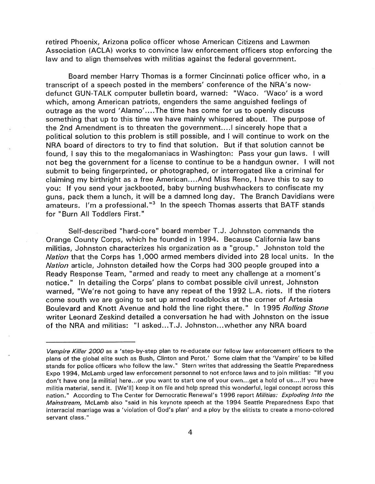retired Phoenix, Arizona police officer whose American Citizens and Lawmen Association (ACLA) works to convince law enforcement officers stop enforcing the law and to align themselves with militias against the federal government.

Board member Harry Thomas is a former Cincinnati police officer who, in <sup>a</sup> transcript of a speech posted in the members' conference of the NRA's nowdefunct GUN-TALK computer bulletin board, warned: "Waco. 'Waco' is a word which, among American patriots, engenders the same anguished feelings of outrage as the word'Alamo'....The time has come for us to openly discuss something that up to this time we have mainly whispered about. The purpose of the 2nd Amendment is to threaten the government....l sincerely hope that <sup>a</sup> political solution to this problem is still possible, and I will continue to work on the NRA board of directors to try to find that solution. But if that solution cannot be found, I say this to the megalomaniacs in Washington: Pass your gun laws. I will not beg the government for a license to continue to be a handgun owner. I will not submit to being fingerprinted, or photographed, or interrogated like a criminal for claiming my birthright as a free American....And Miss Reno, lhave this to say to you: lf you send your jackbooted, baby burning bushwhackers to confiscate my guns, pack them a lunch, it will be a damned long day. The Branch Davidians were amateurs. I'm a professional."3 ln the speech Thomas asserts that BATF stands for "Burn All Toddlers First."

Self-described "hard-core" board member T.J. Johnston commands the Orange County Corps, which he founded in 1994. Because California law bans militias, Johnston characterizes his organization as a "group." Johnston told the Nation that the Corps has 1,O00 armed members divided into 28 local units. ln the Nation article, Johnston detailed how the Corps had 3OO people grouped into <sup>a</sup> Ready Response Team, "armed and ready to meet any challenge at a moment's notice." In detailing the Corps' plans to combat possible civil unrest, Johnston warned, "We're not going to have any repeat of the 1992 L.A. riots. lf the rioters come south we are going to set up armed roadblocks at the corner of Artesia Boulevard and Knott Avenue and hold the line right there." ln 1995 Rolling Stone writer Leonard Zeskind detailed a conversation he had with Johnston on the issue of the NRA and militias: "l asked...T.J. Johnston...whether any NRA board

Vampire Killer 2000 as a 'step-by-step plan to re-educate our fellow law enforcement officers to the plans of the global elite such as Bush, Clinton and Perot.' Some claim that the 'Vampire' to be killed stands for police officers who follow the law." Stern writes that addressing the Seattle Preparedness Expo 1994, Mclamb urged law enforcement personnel to not enforce laws and to join militias: "lf you don't have one [a militia] here,,.or you want to start one of your own...get a hold of us....lf you have militia material, send it. [We'll] keep it on file and help spread this wonderful, legal concept across this nation." According to The Center for Democratic Renewal's 1996 report Militias: Exploding Into the Mainstream, McLamb also "said in his keynote speech at the 1994 Seattle Preparedness Expo that interracial marriage was a 'violation of God's plan' and a ploy by the elitists to create a mono-colored servant class."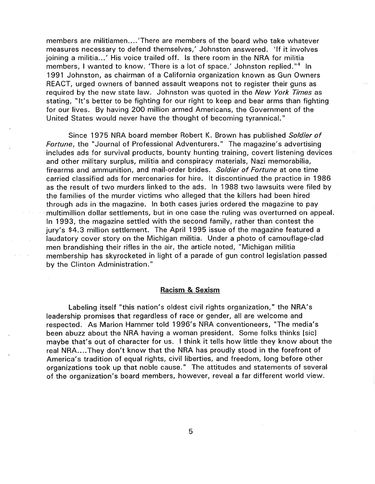members are militiamen....'There are members of the board who take whatever measures necessary to defend themselves,' Johnston answered. 'lf it involves joining a militia...' His voice trailed off. Is there room in the NRA for militia members, I wanted to know. 'There is a lot of space.' Johnston replied."<sup>4</sup> In 1991 Johnston, as chairman of a California organization known as Gun Owners REACT, urged owners of banned assault weapons not to register their guns as required by the new state law. Johnston was quoted in the New York Times as stating, "lt's better to be fighting for our right to keep and bear arms than fighting for our lives. By having 200 million armed Americans, the Government of the United States would never have the thought of becoming tyrannical."

Since 1975 NRA board member Robert K. Brown has published Soldier of Fortune, the "Journal of Professional Adventurers." The magazine's advertising includes ads for survival products, bounty hunting training, covert listening devices and other military surplus, militia and conspiracy materials, Nazi memorabilia, firearms and ammunition, and mail-order brides. Soldier of Fortune at one time carried classified ads for mercenaries for hire. lt discontinued the practice in 1986 as the result of two murders linked to the ads. ln 1988 two lawsuits were filed by the families of the murder victims who alleged that the killers had been hired through ads in the magazine. ln both cases juries ordered the magazine to pay multimillion dollar settlements, but in one case the ruling was overturned on appeal. ln 1993, the magazine settled with the second family, rather than contest the jury's \$4.3 million settlement. The April 1995 issue of the magazine featured <sup>a</sup> laudatory cover story on the Michigan militia. Under a photo of camouflage-clad men brandishing their rifles in the air, the article noted, "Michigan militia membership has skyrocketed in light of a parade of gun control legislation passed by the Clinton Administration."

## Racism & Sexism

Labeling itself "this nation's oldest civil rights organization," the NRA's leadership promises that regardless of race or gender, all are welcome and respected. As Marion Hammer told 1996's NRA conventioneers, "The media's been abuzz about the NRA having a woman president. Some folks thinks [sicl maybe that's out of character for us. I think it tells how little they know about the real NRA....They don't know that the NRA has proudly stood in the forefront of America's tradition of equal rights, civil liberties, and freedom, long before other organizations took up that noble cause." The attitudes and statements of several of the organization's board members, however, reveal a far different world view.

5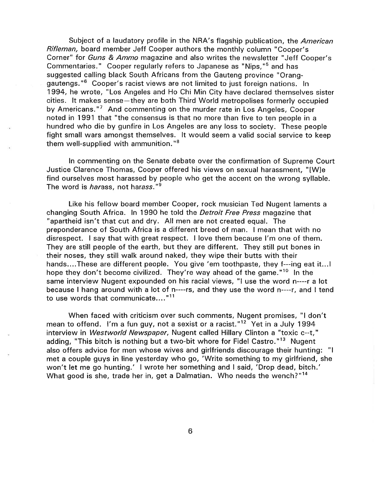Subject of a laudatory profile in the NRA's flagship publication, the American Rifleman, board member Jeff Cooper authors the monthly column "Cooper's Corner" for Guns & Ammo magazine and also writes the newsletter "Jeff Cooper's Commentaries." Cooper regularly refers to Japanese as "Nips,"5 and has suggested calling black South Africans from the Gauteng province "Oranggautengs."6 Cooper's racist views are not limited to just foreign nations. ln 1994, he wrote, "Los Angeles and Ho Chi Min City have declared themselves sister cities. lt makes sense-they are both Third World metropolises formerly occupied by Americans."<sup>7</sup> And commenting on the murder rate in Los Angeles, Cooper noted in 1991 that "the consensus is that no more than five to ten people in <sup>a</sup> hundred who die by gunfire in Los Angeles are any loss to society. These people fight small wars amongst themselves. lt would seem a valid social service to keep them well-supplied with ammunition."<sup>8</sup>

ln commenting on the Senate debate over the confirmation of Supreme Court Justice Clarence Thomas, Cooper offered his views on sexual harassment, "[W]e find ourselves most harassed by people who get the accent on the wrong syllable. The word is *harass*, not harass."<sup>9</sup>

Like his fellow board member Cooper, rock musician Ted Nugent laments <sup>a</sup> changing South Africa. ln 1990 he told the Detroit Free Press magazine that "apartheid isn't that cut and dry. All men are not created equal. The preponderance of South Africa is a different breed of man. I mean that with no disrespect. I say that with great respect. I love them because l'm one of them. They are still people of the earth, but they are different. They still put bones in their noses, they still walk around naked, they wipe their butts with their hands....These are different people. You give 'em toothpaste, they f---ing eat it... hope they don't become civilized. They're way ahead of the game."<sup>10</sup> In the same interview Nugent expounded on his racial views, "l use the word n----r a lot because I hang around with a lot of n----rs, and they use the word n----r, and I tend to use words that communicate...."<sup>11</sup>

When faced with criticism over such comments, Nugent promises, "l don't mean to offend. I'm a fun guy, not a sexist or a racist."<sup>12</sup> Yet in a July 1994 interview in Westworld Newspaper, Nugent called Hillary Clinton a "toxic c--t," adding, "This bitch is nothing but a two-bit whore for Fidel Castro."<sup>13</sup> Nugent also offers advice for men whose wives and girlfriends discourage their hunting: "l met a couple guys in line yesterday who go, 'Write something to my girlfriend, she won't let me go hunting.' I wrote her something and I said, 'Drop dead, bitch.' What good is she, trade her in, get a Dalmatian. Who needs the wench?"<sup>14</sup>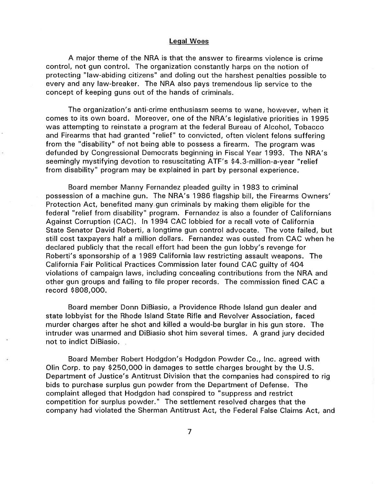#### Legal Woes

A major theme of the NRA is that the answer to firearms violence is crime control, not gun control. The organization constantly harps on the notion of protecting "law-abiding citizens" and doling out the harshest penalties possible to every and any law-breaker. The NRA also pays tremendous lip service to the concept of keeping guns out of the hands of criminals.

The organization's anti-crime enthusiasm seems to wane, however, when it comes to its own board. Moreover, one of the NRA's legislative priorities in 1995 was attempting to reinstate a program at the federal Bureau of Alcohol, Tobacco and Firearms that had granted "relief" to convicted, often violent felons suffering from the "disability" of not being able to possess a firearm. The program was defunded by Congressional Democrats beginning in Fiscal Year 1993. The NRA's seemingly mystifying devotion to resuscitating ATF's \$4.3-million-a-year "relief from disability" program may be explained in part by personal experience.

Board member Manny Fernandez pleaded guilty in 1983 to criminal possession of a machine gun. The NRA's 1986 flagship bill, the Firearms Owners' Protection Act, benefited many gun criminals by making them eligible for the federal "relief from disability" program. Fernandez is also a founder of Californians Against Corruption (CAC). ln 1994 CAC lobbied for a recall vote of California State Senator David Roberti, a longtime gun control advocate. The vote failed, but still cost taxpayers half a million dollars. Fernandez was ousted from CAC when he declared publicly that the recall effort had been the gun lobby's revenge for Roberti's sponsorship of a 1989 California law restricting assault weapons. The California Fair Political Practices Commission later found CAC guilty of 4O4 violations of campaign laws, including concealing contributions from the NRA and other gun groups and failing to file proper records. The commission fined CAC <sup>a</sup> record \$808,O0O.

Board member Donn DiBiasio, a Providence Rhode lsland gun dealer and state lobbyist for the Rhode lsland State Rifle and Revolver Association, faced murder charges after he shot and killed a would-be burglar in his gun store. The intruder was unarmed and DiBiasio shot him several times. A grand jury decided not to indict DiBiasio.

Board Member Robert Hodgdon's Hodgdon Powder Co., lnc. agreed with Olin Corp. to pay \$250,000 in damages to settle charges brought by the U.S. Department of Justice's Antitrust Division that the companies had conspired to rig bids to purchase surplus gun powder from the Department of Defense. The complaint alleged that Hodgdon had conspired to "suppress and restrict competition for surplus powder." The settlement resolved charges that the company had violated the Sherman Antitrust Act, the Federal False Claims Act, and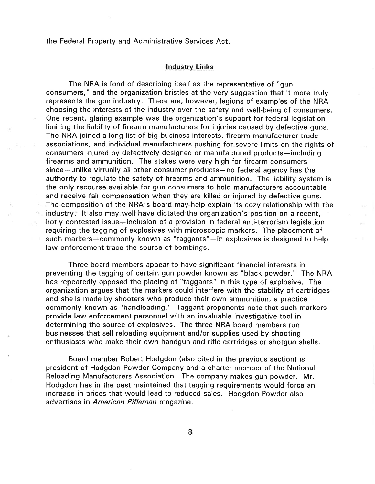the Federal Property and Administrative Services Act.

### lndustry Links

The NRA is fond of describing itself as the representative of "gun consumers," and the organization bristles at the very suggestion that it more truly represents the gun industry. There are, however, legions of examples of the NRA choosing the interests of the industry over the safety and well-being of consumers. One recent, glaring example was the organization's support for federal legislation limiting the liability of firearm manufacturers for injuries caused by defective guns. The NRA joined a long list of big business interests, firearm manufacturer trade associations, and individual manufacturers pushing for severe limits on the rights of consumers injured by defectively designed or manufactured products-including firearms and ammunition. The stakes were very high for firearm consumers since-unlike virtually all other consumer products-no federal agency has the authority to regulate the safety of firearms and ammunition. The liability system is the only recourse available for gun consumers to hold manufacturers accountable and receive fair compensation when they are killed or injured by defective guns. ,The composition of the NRA's board may help explain its cozy relationship with the industry. lt also may well have dictated the organization's position on a recent, hotly contested issue-inclusion of a provision in federal anti-terrorism legislation requiring the tagging of explosives with microscopic markers. The placement of such markers-commonly known as "taggants"-in explosives is designed to help law enforcement trace the source of bombings.

Three board members appear to have significant financial interests in preventing the tagging of certain gun powder known as "black powder." The NRA has repeatedly opposed the placing of "taggants" in this type of explosive. The organization argues that the markers could interfere with the stability of cartridges and shells made by shooters who produce their own ammunition, a practice commonly known as "handloading." Taggant proponents note that such markers provide law enforcement personnel with an invaluable investigative tool in determining the source of explosives. The three NRA board members run businesses that sell reloading equipment and/or supplies used by shooting enthusiasts who make their own handgun and rifle cartridges or shotgun shells.

Board member Robert Hodgdon (also cited in the previous section) is president of Hodgdon Powder Company and a charter member of the National Reloading Manufacturers Association. The company makes gun powder. Mr. Hodgdon has in the past maintained that tagging requirements would force an increase in prices that would lead to reduced sales. Hodgdon Powder also advertises in American Rifleman magazine.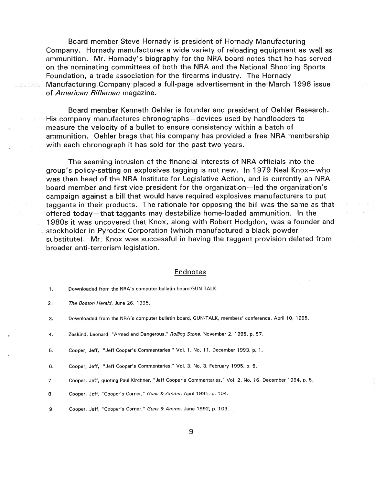Board member Steve Hornady is president of Hornady Manufacturing Company. Hornady manufactures a wide variety of reloading equipment as well as ammunition. Mr. Hornady's biography for the NRA board notes that he has served on the nominating committees of both the NRA and the National Shooting Sports Foundation, a trade association for the firearms industry. The Hornady Manufacturing Company placed a full-page advertisement in the March 1996 issue of American Rifleman magazine.

Board member Kenneth Oehler is founder and president of Oehler Research. His company manufactures chronographs-devices used by handloaders to measure the velocity of a bullet to ensure consistency within a batch of ammunition. Oehler brags that his company has provided a free NRA membership with each chronograph it has sold for the past two years.

The seeming intrusion of the financial interests of NRA officials into the group's policy-setting on explosives tagging is not new. ln 1979 Neal Knox-who was then head of the NRA lnstitute for Legislative Action, and is currently an NRA board member and first vice president for the organization-led the organization's campaign against a bill that would have required explosives manufacturers to put taggants in their products. The rationale for opposing the bill was the same as that offered today-that taggants may destabilize home-loaded ammunition. ln the 1980s it was uncovered that Knox, along with Robert Hodgdon, was a founder and stockholder in Pyrodex Corporation (which manufactured a black powder substitute). Mr: Knox was successful in having the taggant provision deleted from broader anti-terrorism legislation.

#### **Endnotes**

-Ha With

Cooper, Jeff, "Jeff Cooper's Commentaries," Vol. 1, No. 11, December 1993, p. 1. 5.

- Cooper, Jeff, quoting Paul Kirchner, "Jeff Cooper's Commentaries." Vol.2, No. 16, December 1994, p.5 7.
- Cooper, Jeff, "Cooper's Corner," Guns & Ammo, April 1991, p. 104. 8,
- Cooper, Jeff, "Cooper's Corner," Guns & Ammo, June 1992, p. 103. 9.

Downloaded from the NRA's computer bulletin board GUN-TALK.  $1<sub>1</sub>$ 

The Boston Herald, June 26, 1995,  $2.7$ 

Downloaded from the NRA's computer bulletin board, GUN-TALK, members'conference, April 10, 1995. 3.

Zeskind, Leonard, "Armed and Dangerous," Rolling Sfone, November 2, 1995, p.57, 4.

Cooper, Jeff, "Jeff Cooper's Commentaries," Vol.3, No. 3, February 1995, p. 6. 6.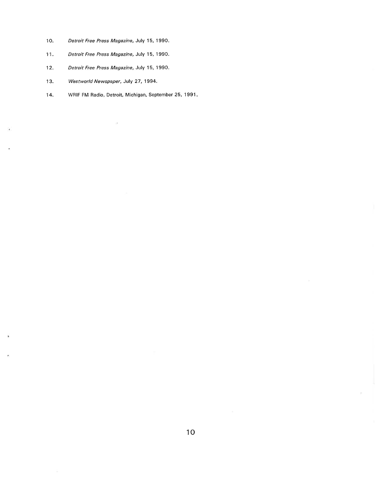- 10. Detroit Free Press Magazine, July 15, 1990,
- 11. Detroit Free Press Magazine, July 15, 1990.
- 12. Detroit Free Press Magazine, July 15, 1990.
- 13. Westworld Newspaper, July 27, 1994.
- 14. WRIF FM Radio, Detroit, Michigan, September 25, 1991

 $\bar{\cal B}$